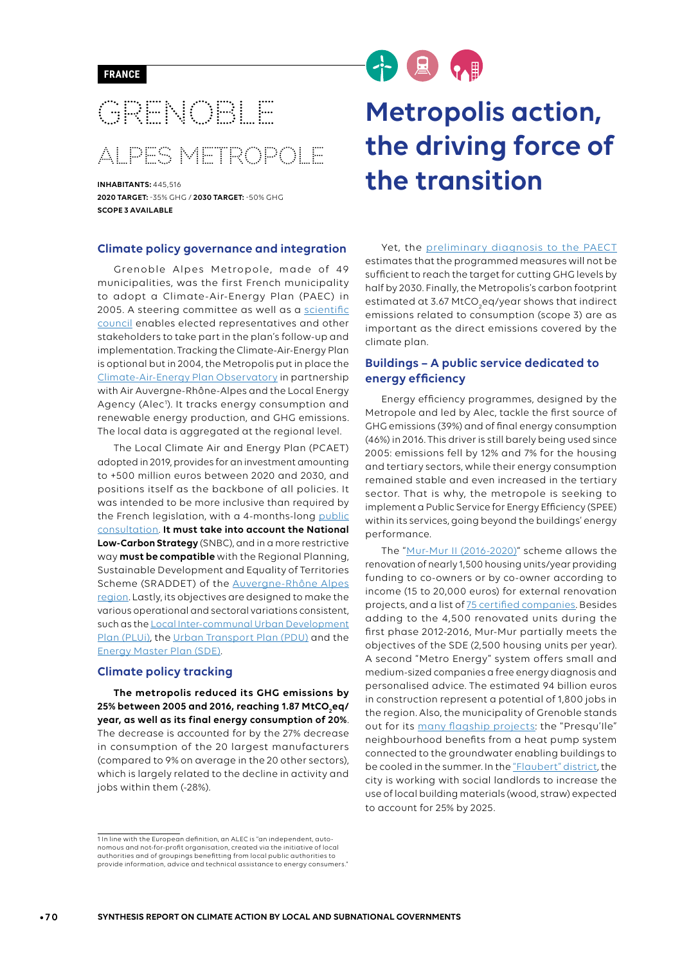## GRENOBLE ALPES METROPOLE

**INHABITANTS:** 445,516 **2020 TARGET:** -35% GHG / **2030 TARGET:** -50% GHG **SCOPE 3 AVAILABLE**

#### **Climate policy governance and integration**

Grenoble Alpes Metropole, made of 49 municipalities, was the first French municipality to adopt a Climate-Air-Energy Plan (PAEC) in 2005. A steering committee as well as a scientific [council](http://orecc.auvergnerhonealpes.fr/fileadmin/user_upload/mediatheque/orecc/Documents/Publications/Fiches_initiatives/ORECC_fiche_retour_exp_Grenoble_CS.pdf) enables elected representatives and other stakeholders to take part in the plan's follow-up and implementation. Tracking the Climate-Air-Energy Plan is optional but in 2004, the Metropolis put in place the [Climate-Air-Energy Plan Observatory](https://www.lametro.fr/463-plan-air-energie-climat.htm) in partnership with Air Auvergne-Rhône-Alpes and the Local Energy Agency (Alec<sup>1</sup>). It tracks energy consumption and renewable energy production, and GHG emissions. The local data is aggregated at the regional level.

The Local Climate Air and Energy Plan (PCAET) adopted in 2019, provides for an investment amounting to +500 million euros between 2020 and 2030, and positions itself as the backbone of all policies. It was intended to be more inclusive than required by the French legislation, with a 4-months-long [public](https://www.lametro.fr/actualite/510/104-participez-au-nouveau-plan-air-energie-climat-de-la-metropole-grenobloise.htm)  [consultation](https://www.lametro.fr/actualite/510/104-participez-au-nouveau-plan-air-energie-climat-de-la-metropole-grenobloise.htm). **It must take into account the National Low-Carbon Strategy** (SNBC), and in a more restrictive way **must be compatible** with the Regional Planning, Sustainable Development and Equality of Territories Scheme (SRADDET) of the [Auvergne-Rhône Alpes](http://www.auvergne-rhone-alpes.developpement-durable.gouv.fr/IMG/pdf/2_SRCAE_Rapport_Avril_2014_cle17614b.pdf)  [region](http://www.auvergne-rhone-alpes.developpement-durable.gouv.fr/IMG/pdf/2_SRCAE_Rapport_Avril_2014_cle17614b.pdf). Lastly, its objectives are designed to make the various operational and sectoral variations consistent, such as the [Local Inter-communal Urban Development](https://www.lametro.fr/644-le-plui.htm)  [Plan](https://www.lametro.fr/644-le-plui.htm) (PLUi), the [Urban Transport Plan](http://www.smtc-grenoble.org/le-pdu-horizon-2030) (PDU) and the [Energy Master Plan](https://www.lametro.fr/120-que-fait-la-metropole.htm) (SDE).

#### **Climate policy tracking**

**The metropolis reduced its GHG emissions by 25% between 2005 and 2016, reaching 1.87 MtCO2 eq/ year, as well as its final energy consumption of 20%**. The decrease is accounted for by the 27% decrease in consumption of the 20 largest manufacturers (compared to 9% on average in the 20 other sectors), which is largely related to the decline in activity and jobs within them (-28%).

# 十息的

### **Metropolis action, the driving force of the transition**

Yet, the [preliminary diagnosis to the](https://participation.lametro.fr/media/default/0001/01/afb713b8a53dd9d5ff8d5c6b19b4064323038c8f.pdf) PAECT estimates that the programmed measures will not be sufficient to reach the target for cutting GHG levels by half by 2030. Finally, the Metropolis's carbon footprint estimated at 3.67 MtCO<sub>2</sub>eq/year shows that indirect emissions related to consumption (scope 3) are as important as the direct emissions covered by the climate plan.

#### **Buildings – A public service dedicated to energy efficiency**

Energy efficiency programmes, designed by the Metropole and led by Alec, tackle the first source of GHG emissions (39%) and of final energy consumption (46%) in 2016. This driver is still barely being used since 2005: emissions fell by 12% and 7% for the housing and tertiary sectors, while their energy consumption remained stable and even increased in the tertiary sector. That is why, the metropole is seeking to implement a Public Service for Energy Efficiency (SPEE) within its services, going beyond the buildings' energy performance.

The "[Mur-Mur II \(2016-2020\)"](https://www.lametro.fr/actualite/500/104-la-metropole-lance-son-service-public-de-l-efficacite-energetique.htm) scheme allows the renovation of nearly 1,500 housing units/year providing funding to co-owners or by co-owner according to income (15 to 20,000 euros) for external renovation projects, and a list of **75** certified companies. Besides adding to the 4,500 renovated units during the first phase 2012-2016, Mur-Mur partially meets the objectives of the SDE (2,500 housing units per year). A second "Metro Energy" system offers small and medium-sized companies a free energy diagnosis and personalised advice. The estimated 94 billion euros in construction represent a potential of 1,800 jobs in the region. Also, the municipality of Grenoble stands out for its [many flagship projects](https://spire.sciencespo.fr/hdl:/2441/679c89dj0m83c9mqhv16l6cmlo/resources/etude-ceri-volume-2.pdf): the "Presqu'Ile" neighbourhood benefits from a heat pump system connected to the groundwater enabling buildings to be cooled in the summer. In the ["Flaubert" district,](http://grenoble-flaubert.fr/) the city is working with social landlords to increase the use of local building materials (wood, straw) expected to account for 25% by 2025.

<sup>1</sup> In line with the European definition, an ALEC is "an independent, autonomous and not-for-profit organisation, created via the initiative of local authorities and of groupings benefitting from local public authorities to provide information, advice and technical assistance to energy consumers."